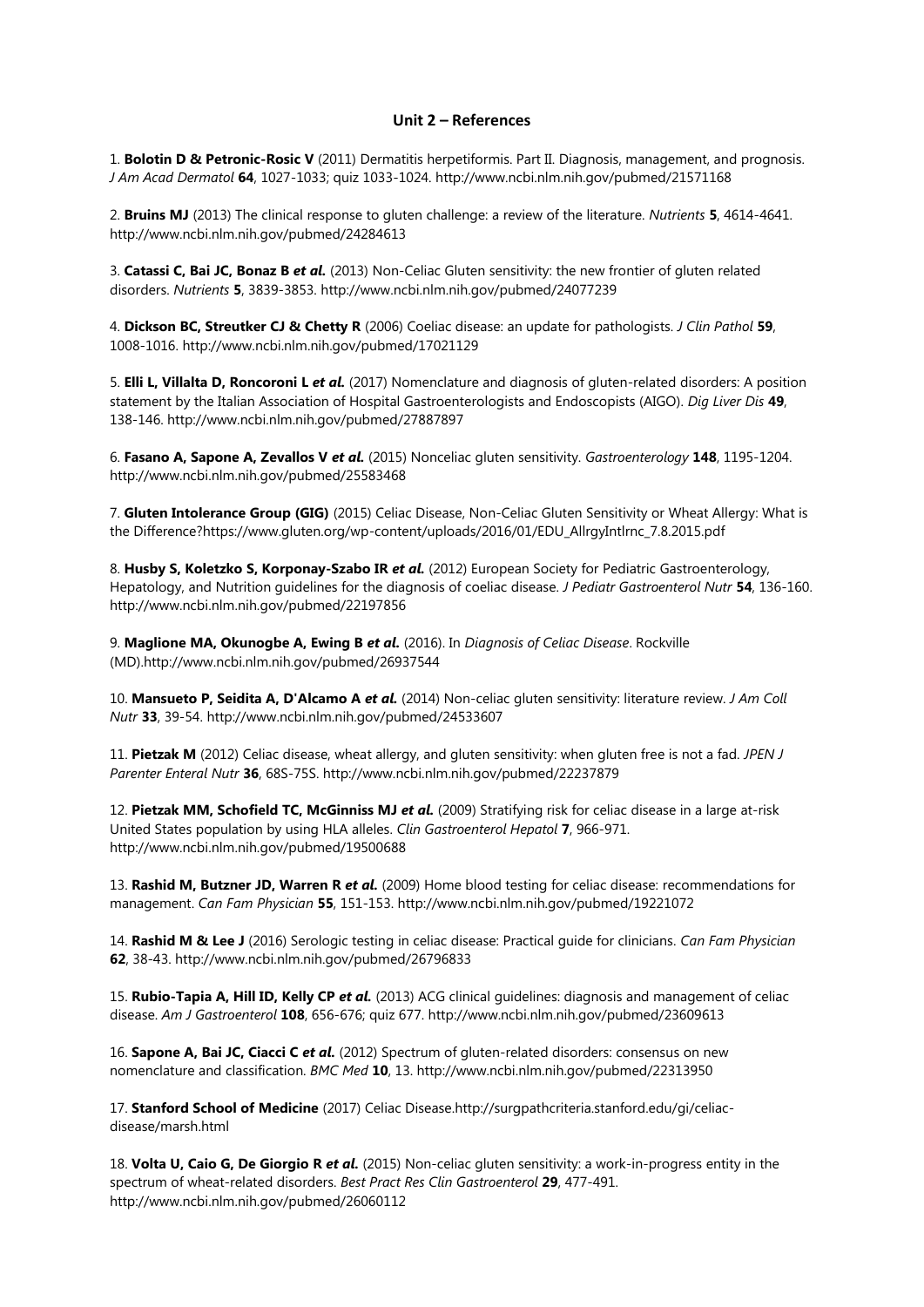## **Unit 2 – References**

1. **Bolotin D & Petronic-Rosic V** (2011) Dermatitis herpetiformis. Part II. Diagnosis, management, and prognosis. *J Am Acad Dermatol* **64**, 1027-1033; quiz 1033-1024. http://www.ncbi.nlm.nih.gov/pubmed/21571168

2. **Bruins MJ** (2013) The clinical response to gluten challenge: a review of the literature. *Nutrients* **5**, 4614-4641. http://www.ncbi.nlm.nih.gov/pubmed/24284613

3. **Catassi C, Bai JC, Bonaz B** *et al.* (2013) Non-Celiac Gluten sensitivity: the new frontier of gluten related disorders. *Nutrients* **5**, 3839-3853. http://www.ncbi.nlm.nih.gov/pubmed/24077239

4. **Dickson BC, Streutker CJ & Chetty R** (2006) Coeliac disease: an update for pathologists. *J Clin Pathol* **59**, 1008-1016. http://www.ncbi.nlm.nih.gov/pubmed/17021129

5. **Elli L, Villalta D, Roncoroni L** *et al.* (2017) Nomenclature and diagnosis of gluten-related disorders: A position statement by the Italian Association of Hospital Gastroenterologists and Endoscopists (AIGO). *Dig Liver Dis* **49**, 138-146. http://www.ncbi.nlm.nih.gov/pubmed/27887897

6. **Fasano A, Sapone A, Zevallos V** *et al.* (2015) Nonceliac gluten sensitivity. *Gastroenterology* **148**, 1195-1204. http://www.ncbi.nlm.nih.gov/pubmed/25583468

7. **Gluten Intolerance Group (GIG)** (2015) Celiac Disease, Non-Celiac Gluten Sensitivity or Wheat Allergy: What is the Difference?https://www.gluten.org/wp-content/uploads/2016/01/EDU\_AllrgyIntlrnc\_7.8.2015.pdf

8. **Husby S, Koletzko S, Korponay-Szabo IR** *et al.* (2012) European Society for Pediatric Gastroenterology, Hepatology, and Nutrition guidelines for the diagnosis of coeliac disease. *J Pediatr Gastroenterol Nutr* **54**, 136-160. http://www.ncbi.nlm.nih.gov/pubmed/22197856

9. **Maglione MA, Okunogbe A, Ewing B** *et al.* (2016). In *Diagnosis of Celiac Disease*. Rockville (MD).http://www.ncbi.nlm.nih.gov/pubmed/26937544

10. **Mansueto P, Seidita A, D'Alcamo A** *et al.* (2014) Non-celiac gluten sensitivity: literature review. *J Am Coll Nutr* **33**, 39-54. http://www.ncbi.nlm.nih.gov/pubmed/24533607

11. **Pietzak M** (2012) Celiac disease, wheat allergy, and gluten sensitivity: when gluten free is not a fad. *JPEN J Parenter Enteral Nutr* **36**, 68S-75S. http://www.ncbi.nlm.nih.gov/pubmed/22237879

12. **Pietzak MM, Schofield TC, McGinniss MJ** *et al.* (2009) Stratifying risk for celiac disease in a large at-risk United States population by using HLA alleles. *Clin Gastroenterol Hepatol* **7**, 966-971. http://www.ncbi.nlm.nih.gov/pubmed/19500688

13. **Rashid M, Butzner JD, Warren R** *et al.* (2009) Home blood testing for celiac disease: recommendations for management. *Can Fam Physician* **55**, 151-153. http://www.ncbi.nlm.nih.gov/pubmed/19221072

14. **Rashid M & Lee J** (2016) Serologic testing in celiac disease: Practical guide for clinicians. *Can Fam Physician* **62**, 38-43. http://www.ncbi.nlm.nih.gov/pubmed/26796833

15. **Rubio-Tapia A, Hill ID, Kelly CP** *et al.* (2013) ACG clinical guidelines: diagnosis and management of celiac disease. *Am J Gastroenterol* **108**, 656-676; quiz 677. http://www.ncbi.nlm.nih.gov/pubmed/23609613

16. **Sapone A, Bai JC, Ciacci C** *et al.* (2012) Spectrum of gluten-related disorders: consensus on new nomenclature and classification. *BMC Med* **10**, 13. http://www.ncbi.nlm.nih.gov/pubmed/22313950

17. **Stanford School of Medicine** (2017) Celiac Disease.http://surgpathcriteria.stanford.edu/gi/celiacdisease/marsh.html

18. **Volta U, Caio G, De Giorgio R** *et al.* (2015) Non-celiac gluten sensitivity: a work-in-progress entity in the spectrum of wheat-related disorders. *Best Pract Res Clin Gastroenterol* **29**, 477-491. http://www.ncbi.nlm.nih.gov/pubmed/26060112